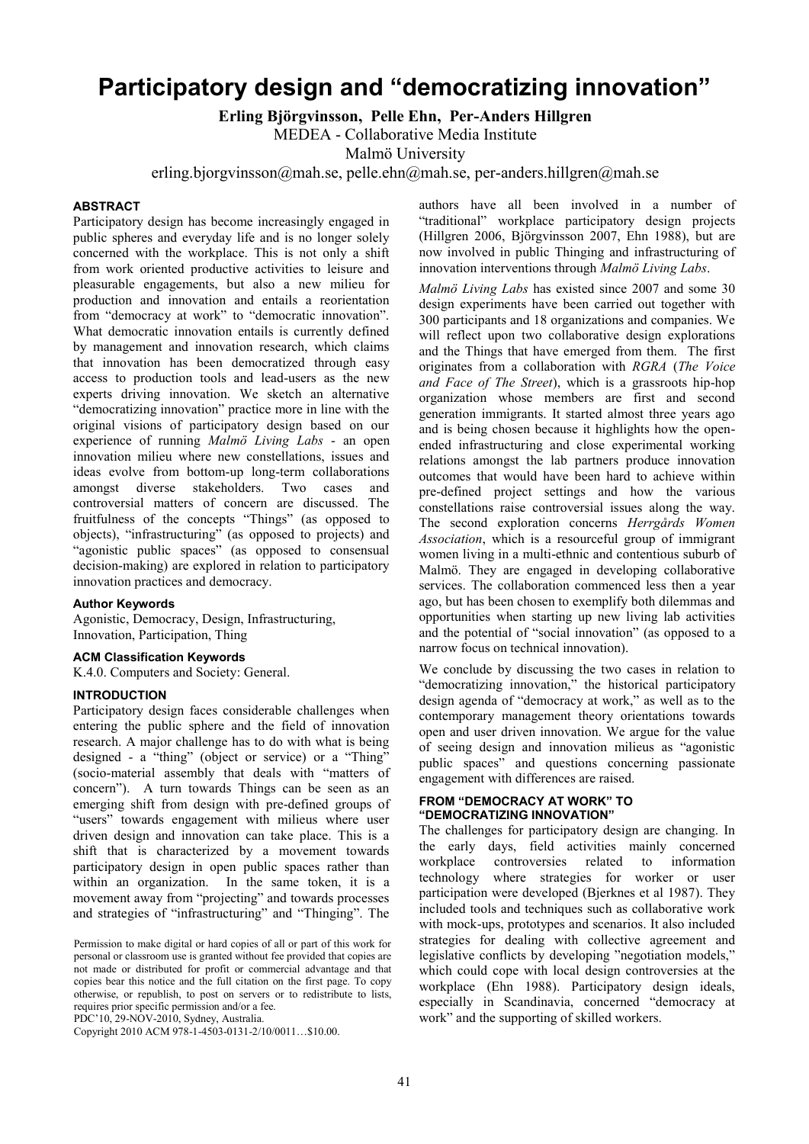# **Participatory design and "democratizing innovation"**

**Erling Björgvinsson, Pelle Ehn, Per-Anders Hillgren** 

MEDEA - Collaborative Media Institute

Malmö University

erling.bjorgvinsson@mah.se, pelle.ehn@mah.se, per-anders.hillgren@mah.se

# **ABSTRACT**

Participatory design has become increasingly engaged in public spheres and everyday life and is no longer solely concerned with the workplace. This is not only a shift from work oriented productive activities to leisure and pleasurable engagements, but also a new milieu for production and innovation and entails a reorientation from "democracy at work" to "democratic innovation". What democratic innovation entails is currently defined by management and innovation research, which claims that innovation has been democratized through easy access to production tools and lead-users as the new experts driving innovation. We sketch an alternative "democratizing innovation" practice more in line with the original visions of participatory design based on our experience of running *Malmö Living Labs* - an open innovation milieu where new constellations, issues and ideas evolve from bottom-up long-term collaborations amongst diverse stakeholders. Two cases and controversial matters of concern are discussed. The fruitfulness of the concepts "Things" (as opposed to objects), "infrastructuring" (as opposed to projects) and "agonistic public spaces" (as opposed to consensual decision-making) are explored in relation to participatory innovation practices and democracy.

#### **Author Keywords**

Agonistic, Democracy, Design, Infrastructuring, Innovation, Participation, Thing

## **ACM Classification Keywords**

K.4.0. Computers and Society: General.

## **INTRODUCTION**

Participatory design faces considerable challenges when entering the public sphere and the field of innovation research. A major challenge has to do with what is being designed - a "thing" (object or service) or a "Thing" (socio-material assembly that deals with "matters of concern"). A turn towards Things can be seen as an emerging shift from design with pre-defined groups of "users" towards engagement with milieus where user driven design and innovation can take place. This is a shift that is characterized by a movement towards participatory design in open public spaces rather than within an organization. In the same token, it is a movement away from "projecting" and towards processes and strategies of "infrastructuring" and "Thinging". The

Permission to make digital or hard copies of all or part of this work for personal or classroom use is granted without fee provided that copies are not made or distributed for profit or commercial advantage and that copies bear this notice and the full citation on the first page. To copy otherwise, or republish, to post on servers or to redistribute to lists, requires prior specific permission and/or a fee.

PDC"10, 29-NOV-2010, Sydney, Australia.

Copyright 2010 ACM 978-1-4503-0131-2/10/0011…\$10.00.

authors have all been involved in a number of "traditional" workplace participatory design projects (Hillgren 2006, Björgvinsson 2007, Ehn 1988), but are now involved in public Thinging and infrastructuring of innovation interventions through *Malmö Living Labs*.

*Malmö Living Labs* has existed since 2007 and some 30 design experiments have been carried out together with 300 participants and 18 organizations and companies. We will reflect upon two collaborative design explorations and the Things that have emerged from them. The first originates from a collaboration with *RGRA* (*The Voice and Face of The Street*), which is a grassroots hip-hop organization whose members are first and second generation immigrants. It started almost three years ago and is being chosen because it highlights how the openended infrastructuring and close experimental working relations amongst the lab partners produce innovation outcomes that would have been hard to achieve within pre-defined project settings and how the various constellations raise controversial issues along the way. The second exploration concerns *Herrgårds Women Association*, which is a resourceful group of immigrant women living in a multi-ethnic and contentious suburb of Malmö. They are engaged in developing collaborative services. The collaboration commenced less then a year ago, but has been chosen to exemplify both dilemmas and opportunities when starting up new living lab activities and the potential of "social innovation" (as opposed to a narrow focus on technical innovation).

We conclude by discussing the two cases in relation to "democratizing innovation," the historical participatory design agenda of "democracy at work," as well as to the contemporary management theory orientations towards open and user driven innovation. We argue for the value of seeing design and innovation milieus as "agonistic public spaces" and questions concerning passionate engagement with differences are raised.

#### **FROM "DEMOCRACY AT WORK" TO "DEMOCRATIZING INNOVATION"**

The challenges for participatory design are changing. In the early days, field activities mainly concerned workplace controversies related to information technology where strategies for worker or user participation were developed (Bjerknes et al 1987). They included tools and techniques such as collaborative work with mock-ups, prototypes and scenarios. It also included strategies for dealing with collective agreement and legislative conflicts by developing "negotiation models," which could cope with local design controversies at the workplace (Ehn 1988). Participatory design ideals, especially in Scandinavia, concerned "democracy at work" and the supporting of skilled workers.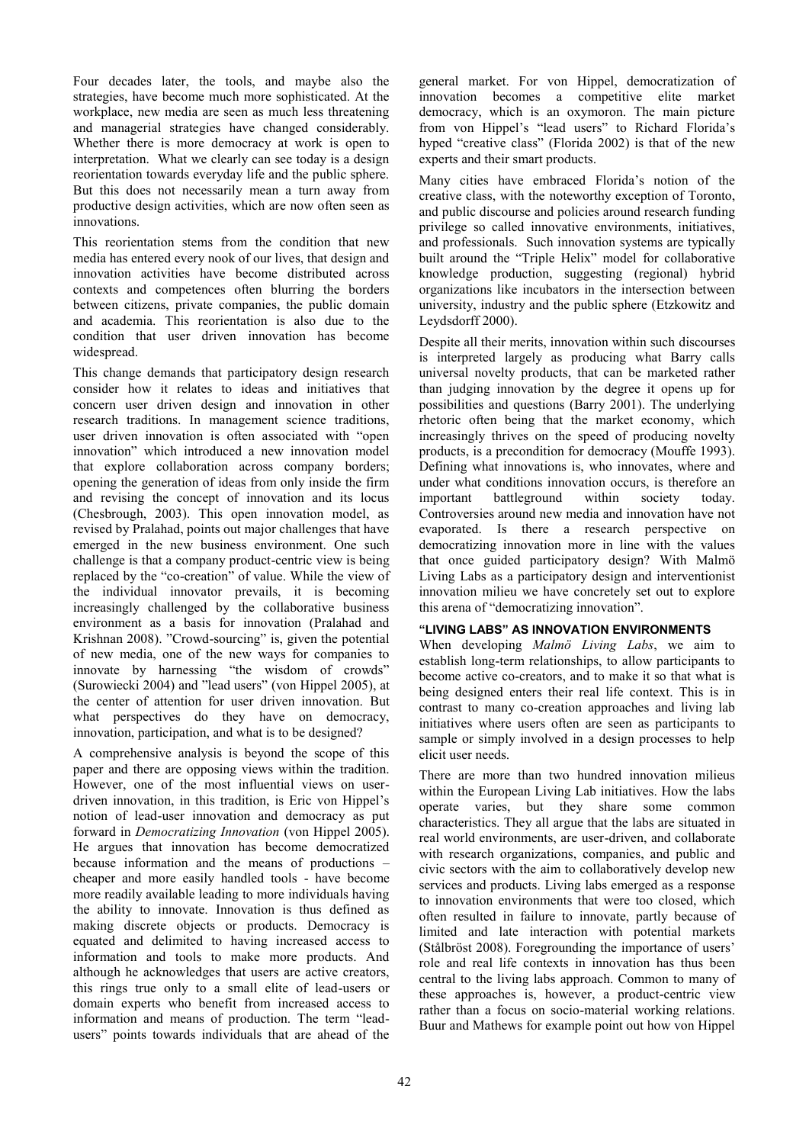Four decades later, the tools, and maybe also the strategies, have become much more sophisticated. At the workplace, new media are seen as much less threatening and managerial strategies have changed considerably. Whether there is more democracy at work is open to interpretation. What we clearly can see today is a design reorientation towards everyday life and the public sphere. But this does not necessarily mean a turn away from productive design activities, which are now often seen as innovations.

This reorientation stems from the condition that new media has entered every nook of our lives, that design and innovation activities have become distributed across contexts and competences often blurring the borders between citizens, private companies, the public domain and academia. This reorientation is also due to the condition that user driven innovation has become widespread.

This change demands that participatory design research consider how it relates to ideas and initiatives that concern user driven design and innovation in other research traditions. In management science traditions, user driven innovation is often associated with "open innovation" which introduced a new innovation model that explore collaboration across company borders; opening the generation of ideas from only inside the firm and revising the concept of innovation and its locus (Chesbrough, 2003). This open innovation model, as revised by Pralahad, points out major challenges that have emerged in the new business environment. One such challenge is that a company product-centric view is being replaced by the "co-creation" of value. While the view of the individual innovator prevails, it is becoming increasingly challenged by the collaborative business environment as a basis for innovation (Pralahad and Krishnan 2008). "Crowd-sourcing" is, given the potential of new media, one of the new ways for companies to innovate by harnessing "the wisdom of crowds" (Surowiecki 2004) and "lead users" (von Hippel 2005), at the center of attention for user driven innovation. But what perspectives do they have on democracy, innovation, participation, and what is to be designed?

A comprehensive analysis is beyond the scope of this paper and there are opposing views within the tradition. However, one of the most influential views on userdriven innovation, in this tradition, is Eric von Hippel"s notion of lead-user innovation and democracy as put forward in *Democratizing Innovation* (von Hippel 2005). He argues that innovation has become democratized because information and the means of productions – cheaper and more easily handled tools - have become more readily available leading to more individuals having the ability to innovate. Innovation is thus defined as making discrete objects or products. Democracy is equated and delimited to having increased access to information and tools to make more products. And although he acknowledges that users are active creators, this rings true only to a small elite of lead-users or domain experts who benefit from increased access to information and means of production. The term "leadusers" points towards individuals that are ahead of the

general market. For von Hippel, democratization of innovation becomes a competitive elite market democracy, which is an oxymoron. The main picture from von Hippel"s "lead users" to Richard Florida"s hyped "creative class" (Florida 2002) is that of the new experts and their smart products.

Many cities have embraced Florida"s notion of the creative class, with the noteworthy exception of Toronto, and public discourse and policies around research funding privilege so called innovative environments, initiatives, and professionals. Such innovation systems are typically built around the "Triple Helix" model for collaborative knowledge production, suggesting (regional) hybrid organizations like incubators in the intersection between university, industry and the public sphere (Etzkowitz and Leydsdorff 2000).

Despite all their merits, innovation within such discourses is interpreted largely as producing what Barry calls universal novelty products, that can be marketed rather than judging innovation by the degree it opens up for possibilities and questions (Barry 2001). The underlying rhetoric often being that the market economy, which increasingly thrives on the speed of producing novelty products, is a precondition for democracy (Mouffe 1993). Defining what innovations is, who innovates, where and under what conditions innovation occurs, is therefore an important battle ground within society today. battleground within society today. Controversies around new media and innovation have not evaporated. Is there a research perspective on democratizing innovation more in line with the values that once guided participatory design? With Malmö Living Labs as a participatory design and interventionist innovation milieu we have concretely set out to explore this arena of "democratizing innovation".

## **"LIVING LABS" AS INNOVATION ENVIRONMENTS**

When developing *Malmö Living Labs*, we aim to establish long-term relationships, to allow participants to become active co-creators, and to make it so that what is being designed enters their real life context. This is in contrast to many co-creation approaches and living lab initiatives where users often are seen as participants to sample or simply involved in a design processes to help elicit user needs.

There are more than two hundred innovation milieus within the European Living Lab initiatives. How the labs operate varies, but they share some common characteristics. They all argue that the labs are situated in real world environments, are user-driven, and collaborate with research organizations, companies, and public and civic sectors with the aim to collaboratively develop new services and products. Living labs emerged as a response to innovation environments that were too closed, which often resulted in failure to innovate, partly because of limited and late interaction with potential markets (Stålbröst 2008). Foregrounding the importance of users" role and real life contexts in innovation has thus been central to the living labs approach. Common to many of these approaches is, however, a product-centric view rather than a focus on socio-material working relations. Buur and Mathews for example point out how von Hippel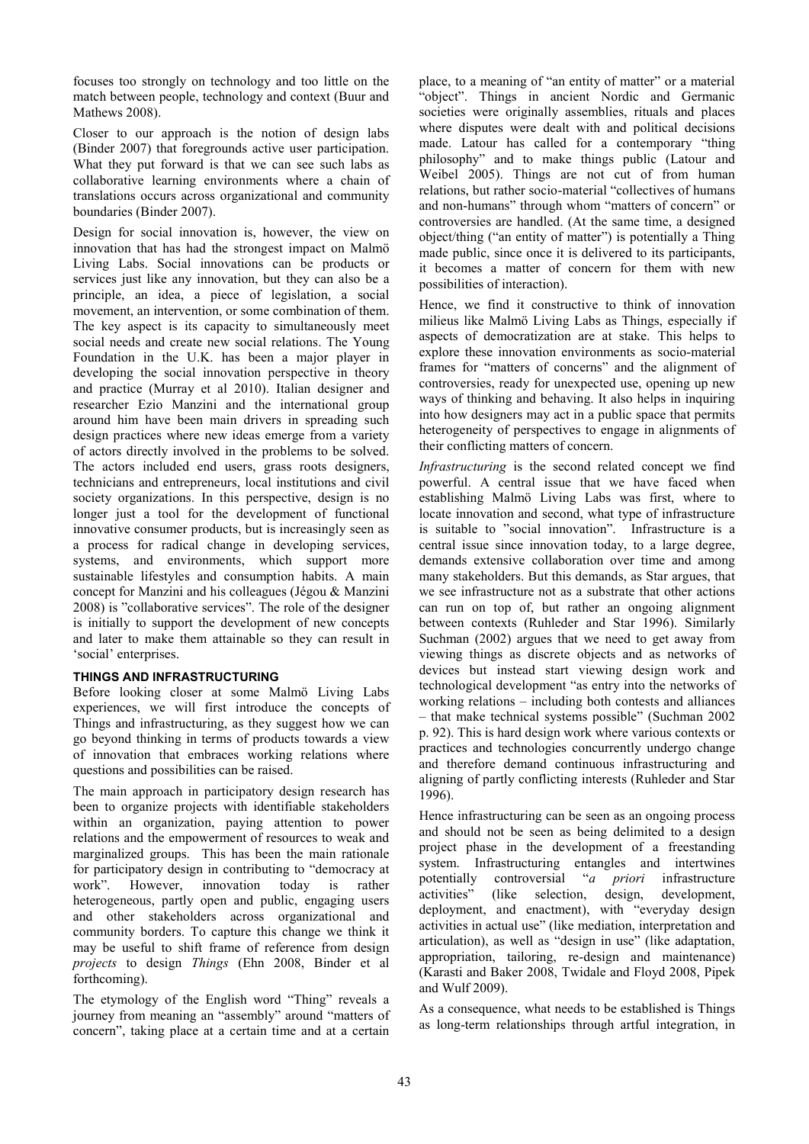focuses too strongly on technology and too little on the match between people, technology and context (Buur and Mathews 2008).

Closer to our approach is the notion of design labs (Binder 2007) that foregrounds active user participation. What they put forward is that we can see such labs as collaborative learning environments where a chain of translations occurs across organizational and community boundaries (Binder 2007).

Design for social innovation is, however, the view on innovation that has had the strongest impact on Malmö Living Labs. Social innovations can be products or services just like any innovation, but they can also be a principle, an idea, a piece of legislation, a social movement, an intervention, or some combination of them. The key aspect is its capacity to simultaneously meet social needs and create new social relations. The Young Foundation in the U.K. has been a major player in developing the social innovation perspective in theory and practice (Murray et al 2010). Italian designer and researcher Ezio Manzini and the international group around him have been main drivers in spreading such design practices where new ideas emerge from a variety of actors directly involved in the problems to be solved. The actors included end users, grass roots designers, technicians and entrepreneurs, local institutions and civil society organizations. In this perspective, design is no longer just a tool for the development of functional innovative consumer products, but is increasingly seen as a process for radical change in developing services, systems, and environments, which support more sustainable lifestyles and consumption habits. A main concept for Manzini and his colleagues (Jégou & Manzini 2008) is "collaborative services". The role of the designer is initially to support the development of new concepts and later to make them attainable so they can result in 'social' enterprises.

## **THINGS AND INFRASTRUCTURING**

Before looking closer at some Malmö Living Labs experiences, we will first introduce the concepts of Things and infrastructuring, as they suggest how we can go beyond thinking in terms of products towards a view of innovation that embraces working relations where questions and possibilities can be raised.

The main approach in participatory design research has been to organize projects with identifiable stakeholders within an organization, paying attention to power relations and the empowerment of resources to weak and marginalized groups. This has been the main rationale for participatory design in contributing to "democracy at work". However, innovation today is rather heterogeneous, partly open and public, engaging users and other stakeholders across organizational and community borders. To capture this change we think it may be useful to shift frame of reference from design *projects* to design *Things* (Ehn 2008, Binder et al forthcoming).

The etymology of the English word "Thing" reveals a journey from meaning an "assembly" around "matters of concern", taking place at a certain time and at a certain

place, to a meaning of "an entity of matter" or a material "object". Things in ancient Nordic and Germanic societies were originally assemblies, rituals and places where disputes were dealt with and political decisions made. Latour has called for a contemporary "thing philosophy" and to make things public (Latour and Weibel 2005). Things are not cut of from human relations, but rather socio-material "collectives of humans and non-humans" through whom "matters of concern" or controversies are handled. (At the same time, a designed object/thing ("an entity of matter") is potentially a Thing made public, since once it is delivered to its participants, it becomes a matter of concern for them with new possibilities of interaction).

Hence, we find it constructive to think of innovation milieus like Malmö Living Labs as Things, especially if aspects of democratization are at stake. This helps to explore these innovation environments as socio-material frames for "matters of concerns" and the alignment of controversies, ready for unexpected use, opening up new ways of thinking and behaving. It also helps in inquiring into how designers may act in a public space that permits heterogeneity of perspectives to engage in alignments of their conflicting matters of concern.

*Infrastructuring* is the second related concept we find powerful. A central issue that we have faced when establishing Malmö Living Labs was first, where to locate innovation and second, what type of infrastructure is suitable to "social innovation". Infrastructure is a central issue since innovation today, to a large degree, demands extensive collaboration over time and among many stakeholders. But this demands, as Star argues, that we see infrastructure not as a substrate that other actions can run on top of, but rather an ongoing alignment between contexts (Ruhleder and Star 1996). Similarly Suchman (2002) argues that we need to get away from viewing things as discrete objects and as networks of devices but instead start viewing design work and technological development "as entry into the networks of working relations – including both contests and alliances – that make technical systems possible" (Suchman 2002 p. 92). This is hard design work where various contexts or practices and technologies concurrently undergo change and therefore demand continuous infrastructuring and aligning of partly conflicting interests (Ruhleder and Star 1996).

Hence infrastructuring can be seen as an ongoing process and should not be seen as being delimited to a design project phase in the development of a freestanding system. Infrastructuring entangles and intertwines potentially controversial "*a priori* infrastructure potentially controversial "*a priori* infrastructure activities" (like selection, design, development, deployment, and enactment), with "everyday design activities in actual use" (like mediation, interpretation and articulation), as well as "design in use" (like adaptation, appropriation, tailoring, re-design and maintenance) (Karasti and Baker 2008, Twidale and Floyd 2008, Pipek and Wulf 2009).

As a consequence, what needs to be established is Things as long-term relationships through artful integration, in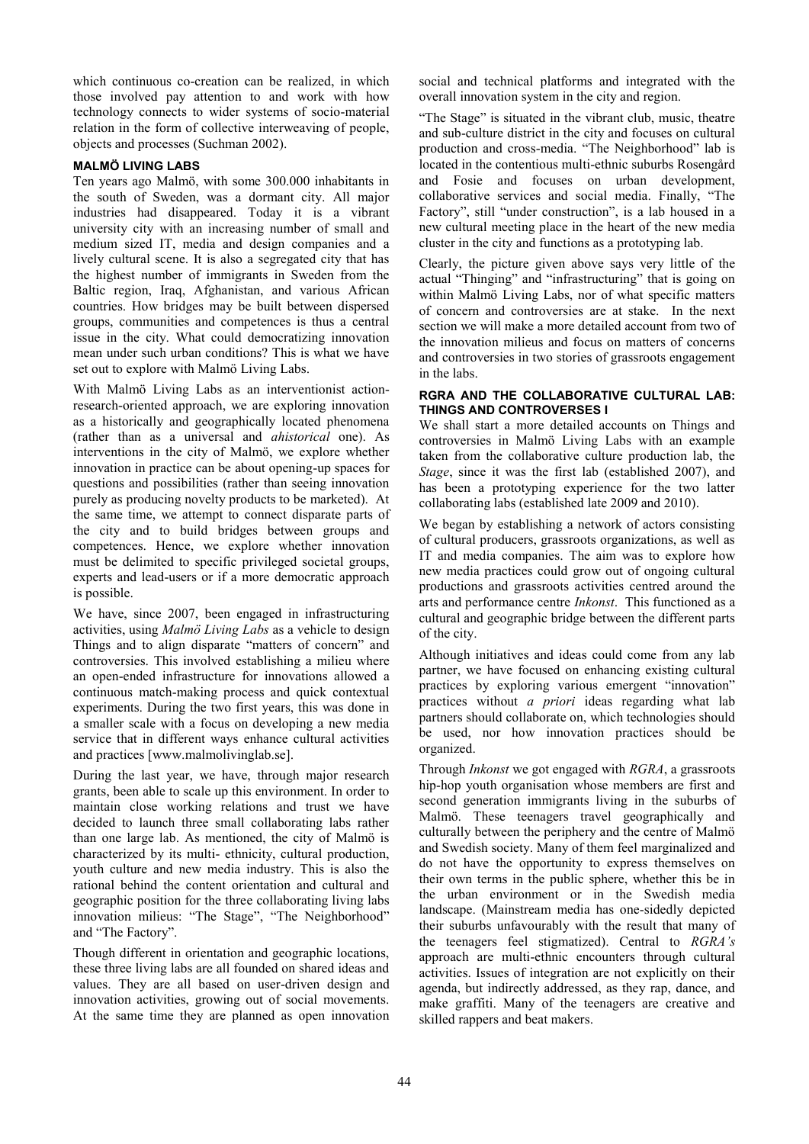which continuous co-creation can be realized, in which those involved pay attention to and work with how technology connects to wider systems of socio-material relation in the form of collective interweaving of people, objects and processes (Suchman 2002).

#### **MALMÖ LIVING LABS**

Ten years ago Malmö, with some 300.000 inhabitants in the south of Sweden, was a dormant city. All major industries had disappeared. Today it is a vibrant university city with an increasing number of small and medium sized IT, media and design companies and a lively cultural scene. It is also a segregated city that has the highest number of immigrants in Sweden from the Baltic region, Iraq, Afghanistan, and various African countries. How bridges may be built between dispersed groups, communities and competences is thus a central issue in the city. What could democratizing innovation mean under such urban conditions? This is what we have set out to explore with Malmö Living Labs.

With Malmö Living Labs as an interventionist actionresearch-oriented approach, we are exploring innovation as a historically and geographically located phenomena (rather than as a universal and *ahistorical* one). As interventions in the city of Malmö, we explore whether innovation in practice can be about opening-up spaces for questions and possibilities (rather than seeing innovation purely as producing novelty products to be marketed). At the same time, we attempt to connect disparate parts of the city and to build bridges between groups and competences. Hence, we explore whether innovation must be delimited to specific privileged societal groups, experts and lead-users or if a more democratic approach is possible.

We have, since 2007, been engaged in infrastructuring activities, using *Malmö Living Labs* as a vehicle to design Things and to align disparate "matters of concern" and controversies. This involved establishing a milieu where an open-ended infrastructure for innovations allowed a continuous match-making process and quick contextual experiments. During the two first years, this was done in a smaller scale with a focus on developing a new media service that in different ways enhance cultural activities and practices [www.malmolivinglab.se].

During the last year, we have, through major research grants, been able to scale up this environment. In order to maintain close working relations and trust we have decided to launch three small collaborating labs rather than one large lab. As mentioned, the city of Malmö is characterized by its multi- ethnicity, cultural production, youth culture and new media industry. This is also the rational behind the content orientation and cultural and geographic position for the three collaborating living labs innovation milieus: "The Stage", "The Neighborhood" and "The Factory".

Though different in orientation and geographic locations, these three living labs are all founded on shared ideas and values. They are all based on user-driven design and innovation activities, growing out of social movements. At the same time they are planned as open innovation social and technical platforms and integrated with the overall innovation system in the city and region.

"The Stage" is situated in the vibrant club, music, theatre and sub-culture district in the city and focuses on cultural production and cross-media. "The Neighborhood" lab is located in the contentious multi-ethnic suburbs Rosengård and Fosie and focuses on urban development, collaborative services and social media. Finally, "The Factory", still "under construction", is a lab housed in a new cultural meeting place in the heart of the new media cluster in the city and functions as a prototyping lab.

Clearly, the picture given above says very little of the actual "Thinging" and "infrastructuring" that is going on within Malmö Living Labs, nor of what specific matters of concern and controversies are at stake. In the next section we will make a more detailed account from two of the innovation milieus and focus on matters of concerns and controversies in two stories of grassroots engagement in the labs.

## **RGRA AND THE COLLABORATIVE CULTURAL LAB: THINGS AND CONTROVERSES I**

We shall start a more detailed accounts on Things and controversies in Malmö Living Labs with an example taken from the collaborative culture production lab, the *Stage*, since it was the first lab (established 2007), and has been a prototyping experience for the two latter collaborating labs (established late 2009 and 2010).

We began by establishing a network of actors consisting of cultural producers, grassroots organizations, as well as IT and media companies. The aim was to explore how new media practices could grow out of ongoing cultural productions and grassroots activities centred around the arts and performance centre *Inkonst*. This functioned as a cultural and geographic bridge between the different parts of the city.

Although initiatives and ideas could come from any lab partner, we have focused on enhancing existing cultural practices by exploring various emergent "innovation" practices without *a priori* ideas regarding what lab partners should collaborate on, which technologies should be used, nor how innovation practices should be organized.

Through *Inkonst* we got engaged with *RGRA*, a grassroots hip-hop youth organisation whose members are first and second generation immigrants living in the suburbs of Malmö. These teenagers travel geographically and culturally between the periphery and the centre of Malmö and Swedish society. Many of them feel marginalized and do not have the opportunity to express themselves on their own terms in the public sphere, whether this be in the urban environment or in the Swedish media landscape. (Mainstream media has one-sidedly depicted their suburbs unfavourably with the result that many of the teenagers feel stigmatized). Central to *RGRA's* approach are multi-ethnic encounters through cultural activities. Issues of integration are not explicitly on their agenda, but indirectly addressed, as they rap, dance, and make graffiti. Many of the teenagers are creative and skilled rappers and beat makers.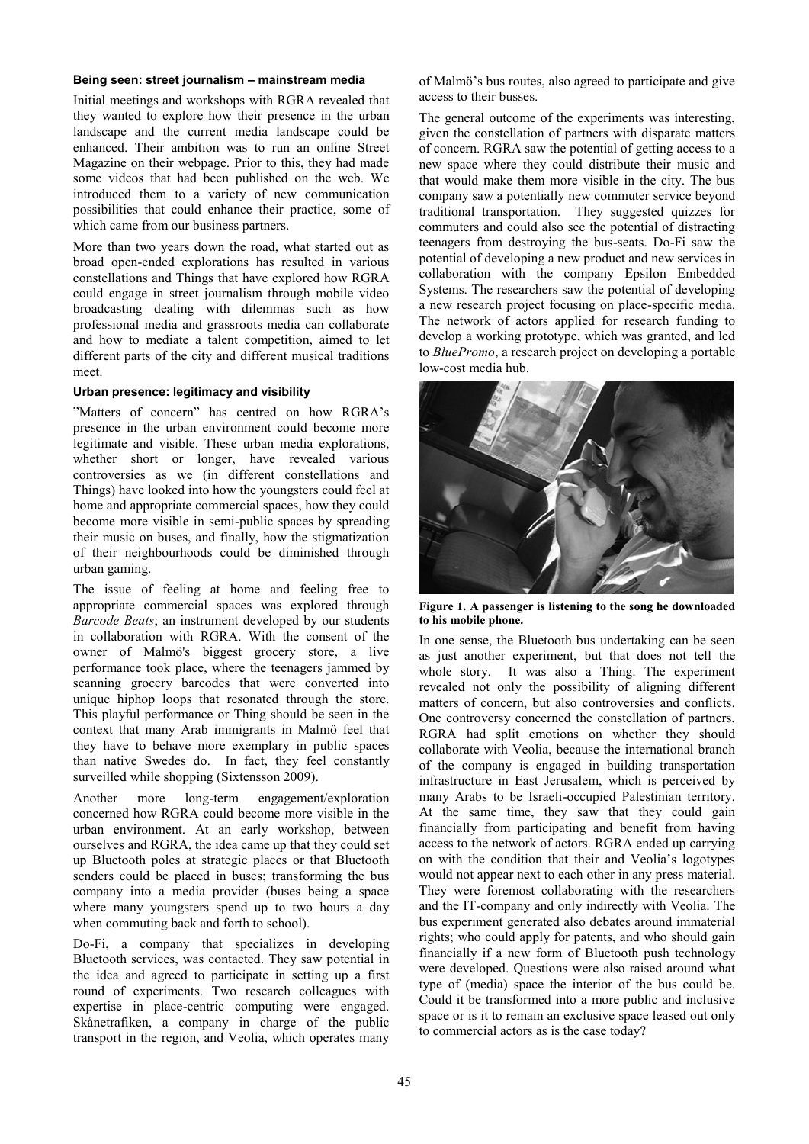#### **Being seen: street journalism – mainstream media**

Initial meetings and workshops with RGRA revealed that they wanted to explore how their presence in the urban landscape and the current media landscape could be enhanced. Their ambition was to run an online Street Magazine on their webpage. Prior to this, they had made some videos that had been published on the web. We introduced them to a variety of new communication possibilities that could enhance their practice, some of which came from our business partners.

More than two years down the road, what started out as broad open-ended explorations has resulted in various constellations and Things that have explored how RGRA could engage in street journalism through mobile video broadcasting dealing with dilemmas such as how professional media and grassroots media can collaborate and how to mediate a talent competition, aimed to let different parts of the city and different musical traditions meet.

#### **Urban presence: legitimacy and visibility**

"Matters of concern" has centred on how RGRA"s presence in the urban environment could become more legitimate and visible. These urban media explorations, whether short or longer, have revealed various controversies as we (in different constellations and Things) have looked into how the youngsters could feel at home and appropriate commercial spaces, how they could become more visible in semi-public spaces by spreading their music on buses, and finally, how the stigmatization of their neighbourhoods could be diminished through urban gaming.

The issue of feeling at home and feeling free to appropriate commercial spaces was explored through *Barcode Beats*; an instrument developed by our students in collaboration with RGRA. With the consent of the owner of Malmö's biggest grocery store, a live performance took place, where the teenagers jammed by scanning grocery barcodes that were converted into unique hiphop loops that resonated through the store. This playful performance or Thing should be seen in the context that many Arab immigrants in Malmö feel that they have to behave more exemplary in public spaces than native Swedes do. In fact, they feel constantly surveilled while shopping (Sixtensson 2009).

Another more long-term engagement/exploration concerned how RGRA could become more visible in the urban environment. At an early workshop, between ourselves and RGRA, the idea came up that they could set up Bluetooth poles at strategic places or that Bluetooth senders could be placed in buses; transforming the bus company into a media provider (buses being a space where many youngsters spend up to two hours a day when commuting back and forth to school).

Do-Fi, a company that specializes in developing Bluetooth services, was contacted. They saw potential in the idea and agreed to participate in setting up a first round of experiments. Two research colleagues with expertise in place-centric computing were engaged. Skånetrafiken, a company in charge of the public transport in the region, and Veolia, which operates many of Malmö"s bus routes, also agreed to participate and give access to their busses.

The general outcome of the experiments was interesting, given the constellation of partners with disparate matters of concern. RGRA saw the potential of getting access to a new space where they could distribute their music and that would make them more visible in the city. The bus company saw a potentially new commuter service beyond traditional transportation. They suggested quizzes for commuters and could also see the potential of distracting teenagers from destroying the bus-seats. Do-Fi saw the potential of developing a new product and new services in collaboration with the company Epsilon Embedded Systems. The researchers saw the potential of developing a new research project focusing on place-specific media. The network of actors applied for research funding to develop a working prototype, which was granted, and led to *BluePromo*, a research project on developing a portable low-cost media hub.



**Figure 1. A passenger is listening to the song he downloaded to his mobile phone.**

In one sense, the Bluetooth bus undertaking can be seen as just another experiment, but that does not tell the whole story. It was also a Thing. The experiment revealed not only the possibility of aligning different matters of concern, but also controversies and conflicts. One controversy concerned the constellation of partners. RGRA had split emotions on whether they should collaborate with Veolia, because the international branch of the company is engaged in building transportation infrastructure in East Jerusalem, which is perceived by many Arabs to be Israeli-occupied Palestinian territory. At the same time, they saw that they could gain financially from participating and benefit from having access to the network of actors. RGRA ended up carrying on with the condition that their and Veolia"s logotypes would not appear next to each other in any press material. They were foremost collaborating with the researchers and the IT-company and only indirectly with Veolia. The bus experiment generated also debates around immaterial rights; who could apply for patents, and who should gain financially if a new form of Bluetooth push technology were developed. Questions were also raised around what type of (media) space the interior of the bus could be. Could it be transformed into a more public and inclusive space or is it to remain an exclusive space leased out only to commercial actors as is the case today?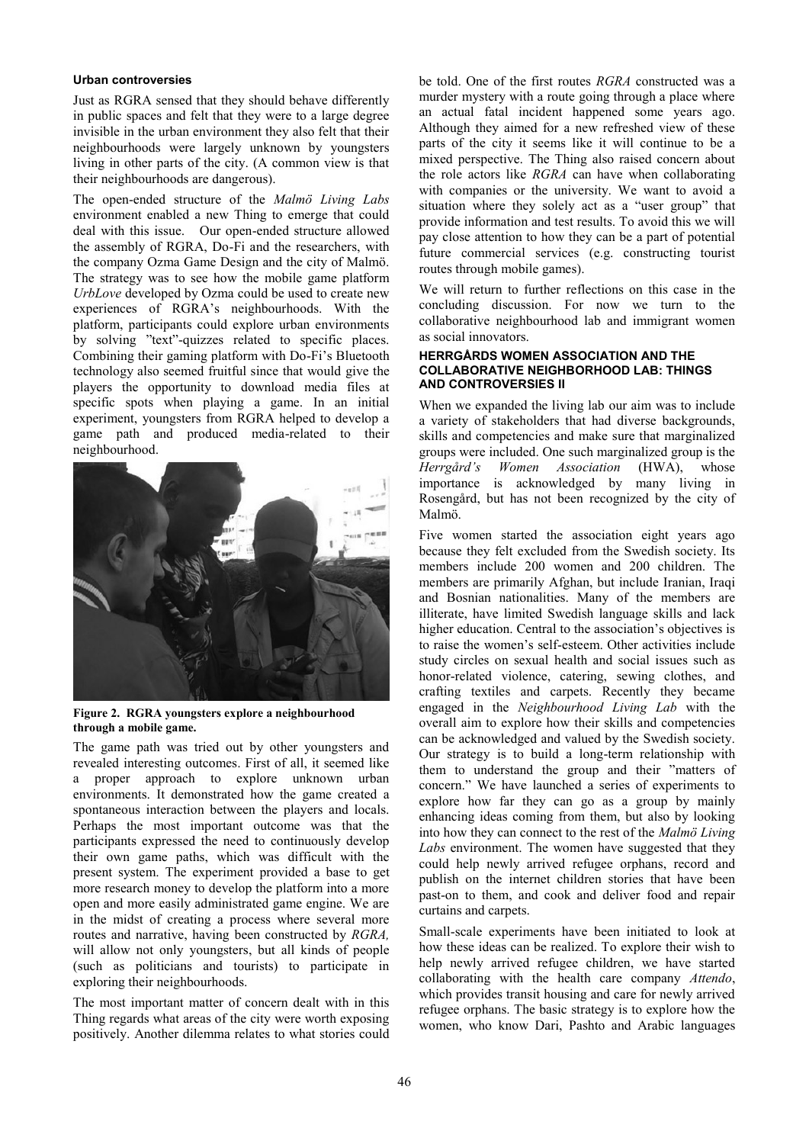## **Urban controversies**

Just as RGRA sensed that they should behave differently in public spaces and felt that they were to a large degree invisible in the urban environment they also felt that their neighbourhoods were largely unknown by youngsters living in other parts of the city. (A common view is that their neighbourhoods are dangerous).

The open-ended structure of the *Malmö Living Labs* environment enabled a new Thing to emerge that could deal with this issue. Our open-ended structure allowed the assembly of RGRA, Do-Fi and the researchers, with the company Ozma Game Design and the city of Malmö. The strategy was to see how the mobile game platform *UrbLove* developed by Ozma could be used to create new experiences of RGRA"s neighbourhoods. With the platform, participants could explore urban environments by solving "text"-quizzes related to specific places. Combining their gaming platform with Do-Fi"s Bluetooth technology also seemed fruitful since that would give the players the opportunity to download media files at specific spots when playing a game. In an initial experiment, youngsters from RGRA helped to develop a game path and produced media-related to their neighbourhood.



**Figure 2. RGRA youngsters explore a neighbourhood through a mobile game.** 

The game path was tried out by other youngsters and revealed interesting outcomes. First of all, it seemed like a proper approach to explore unknown urban environments. It demonstrated how the game created a spontaneous interaction between the players and locals. Perhaps the most important outcome was that the participants expressed the need to continuously develop their own game paths, which was difficult with the present system. The experiment provided a base to get more research money to develop the platform into a more open and more easily administrated game engine. We are in the midst of creating a process where several more routes and narrative, having been constructed by *RGRA,* will allow not only youngsters, but all kinds of people (such as politicians and tourists) to participate in exploring their neighbourhoods.

The most important matter of concern dealt with in this Thing regards what areas of the city were worth exposing positively. Another dilemma relates to what stories could be told. One of the first routes *RGRA* constructed was a murder mystery with a route going through a place where an actual fatal incident happened some years ago. Although they aimed for a new refreshed view of these parts of the city it seems like it will continue to be a mixed perspective. The Thing also raised concern about the role actors like *RGRA* can have when collaborating with companies or the university. We want to avoid a situation where they solely act as a "user group" that provide information and test results. To avoid this we will pay close attention to how they can be a part of potential future commercial services (e.g. constructing tourist routes through mobile games).

We will return to further reflections on this case in the concluding discussion. For now we turn to the collaborative neighbourhood lab and immigrant women as social innovators.

#### **HERRGÅRDS WOMEN ASSOCIATION AND THE COLLABORATIVE NEIGHBORHOOD LAB: THINGS AND CONTROVERSIES II**

When we expanded the living lab our aim was to include a variety of stakeholders that had diverse backgrounds, skills and competencies and make sure that marginalized groups were included. One such marginalized group is the *Herrgård's Women Association* (HWA). whose *Herrgård's Women Association* (HWA), importance is acknowledged by many living in Rosengård, but has not been recognized by the city of Malmö.

Five women started the association eight years ago because they felt excluded from the Swedish society. Its members include 200 women and 200 children. The members are primarily Afghan, but include Iranian, Iraqi and Bosnian nationalities. Many of the members are illiterate, have limited Swedish language skills and lack higher education. Central to the association's objectives is to raise the women"s self-esteem. Other activities include study circles on sexual health and social issues such as honor-related violence, catering, sewing clothes, and crafting textiles and carpets. Recently they became engaged in the *Neighbourhood Living Lab* with the overall aim to explore how their skills and competencies can be acknowledged and valued by the Swedish society. Our strategy is to build a long-term relationship with them to understand the group and their "matters of concern." We have launched a series of experiments to explore how far they can go as a group by mainly enhancing ideas coming from them, but also by looking into how they can connect to the rest of the *Malmö Living Labs* environment. The women have suggested that they could help newly arrived refugee orphans, record and publish on the internet children stories that have been past-on to them, and cook and deliver food and repair curtains and carpets.

Small-scale experiments have been initiated to look at how these ideas can be realized. To explore their wish to help newly arrived refugee children, we have started collaborating with the health care company *Attendo*, which provides transit housing and care for newly arrived refugee orphans. The basic strategy is to explore how the women, who know Dari, Pashto and Arabic languages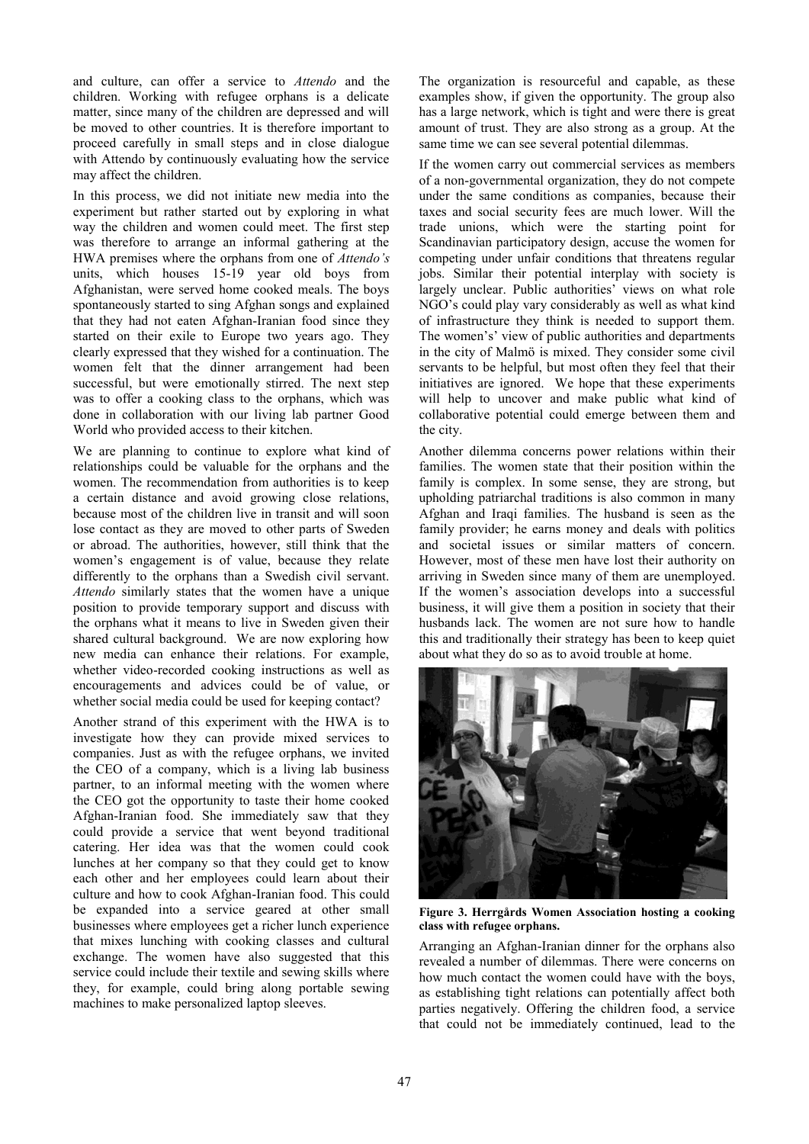and culture, can offer a service to *Attendo* and the children. Working with refugee orphans is a delicate matter, since many of the children are depressed and will be moved to other countries. It is therefore important to proceed carefully in small steps and in close dialogue with Attendo by continuously evaluating how the service may affect the children.

In this process, we did not initiate new media into the experiment but rather started out by exploring in what way the children and women could meet. The first step was therefore to arrange an informal gathering at the HWA premises where the orphans from one of *Attendo's* units, which houses 15-19 year old boys from Afghanistan, were served home cooked meals. The boys spontaneously started to sing Afghan songs and explained that they had not eaten Afghan-Iranian food since they started on their exile to Europe two years ago. They clearly expressed that they wished for a continuation. The women felt that the dinner arrangement had been successful, but were emotionally stirred. The next step was to offer a cooking class to the orphans, which was done in collaboration with our living lab partner Good World who provided access to their kitchen.

We are planning to continue to explore what kind of relationships could be valuable for the orphans and the women. The recommendation from authorities is to keep a certain distance and avoid growing close relations, because most of the children live in transit and will soon lose contact as they are moved to other parts of Sweden or abroad. The authorities, however, still think that the women"s engagement is of value, because they relate differently to the orphans than a Swedish civil servant. *Attendo* similarly states that the women have a unique position to provide temporary support and discuss with the orphans what it means to live in Sweden given their shared cultural background. We are now exploring how new media can enhance their relations. For example, whether video-recorded cooking instructions as well as encouragements and advices could be of value, or whether social media could be used for keeping contact?

Another strand of this experiment with the HWA is to investigate how they can provide mixed services to companies. Just as with the refugee orphans, we invited the CEO of a company, which is a living lab business partner, to an informal meeting with the women where the CEO got the opportunity to taste their home cooked Afghan-Iranian food. She immediately saw that they could provide a service that went beyond traditional catering. Her idea was that the women could cook lunches at her company so that they could get to know each other and her employees could learn about their culture and how to cook Afghan-Iranian food. This could be expanded into a service geared at other small businesses where employees get a richer lunch experience that mixes lunching with cooking classes and cultural exchange. The women have also suggested that this service could include their textile and sewing skills where they, for example, could bring along portable sewing machines to make personalized laptop sleeves.

The organization is resourceful and capable, as these examples show, if given the opportunity. The group also has a large network, which is tight and were there is great amount of trust. They are also strong as a group. At the same time we can see several potential dilemmas.

If the women carry out commercial services as members of a non-governmental organization, they do not compete under the same conditions as companies, because their taxes and social security fees are much lower. Will the trade unions, which were the starting point for Scandinavian participatory design, accuse the women for competing under unfair conditions that threatens regular jobs. Similar their potential interplay with society is largely unclear. Public authorities' views on what role NGO"s could play vary considerably as well as what kind of infrastructure they think is needed to support them. The women's' view of public authorities and departments in the city of Malmö is mixed. They consider some civil servants to be helpful, but most often they feel that their initiatives are ignored. We hope that these experiments will help to uncover and make public what kind of collaborative potential could emerge between them and the city.

Another dilemma concerns power relations within their families. The women state that their position within the family is complex. In some sense, they are strong, but upholding patriarchal traditions is also common in many Afghan and Iraqi families. The husband is seen as the family provider; he earns money and deals with politics and societal issues or similar matters of concern. However, most of these men have lost their authority on arriving in Sweden since many of them are unemployed. If the women"s association develops into a successful business, it will give them a position in society that their husbands lack. The women are not sure how to handle this and traditionally their strategy has been to keep quiet about what they do so as to avoid trouble at home.



**Figure 3. Herrgårds Women Association hosting a cooking class with refugee orphans.** 

Arranging an Afghan-Iranian dinner for the orphans also revealed a number of dilemmas. There were concerns on how much contact the women could have with the boys, as establishing tight relations can potentially affect both parties negatively. Offering the children food, a service that could not be immediately continued, lead to the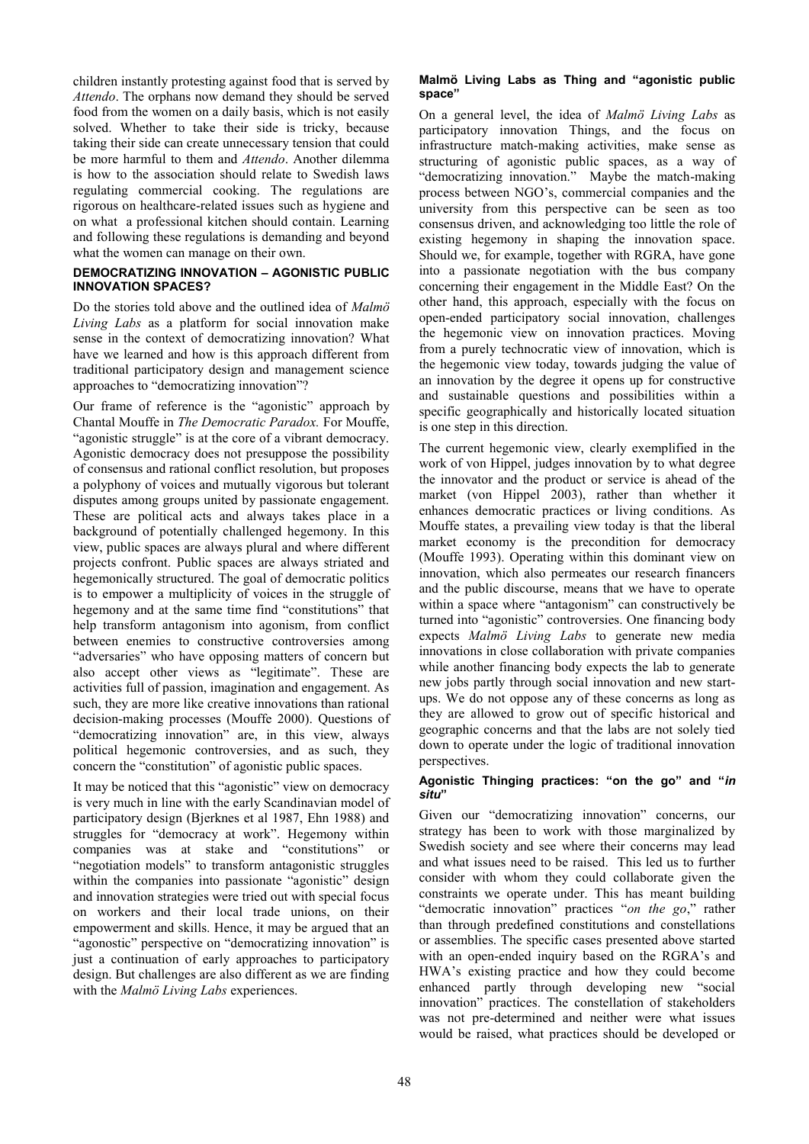children instantly protesting against food that is served by *Attendo*. The orphans now demand they should be served food from the women on a daily basis, which is not easily solved. Whether to take their side is tricky, because taking their side can create unnecessary tension that could be more harmful to them and *Attendo*. Another dilemma is how to the association should relate to Swedish laws regulating commercial cooking. The regulations are rigorous on healthcare-related issues such as hygiene and on what a professional kitchen should contain. Learning and following these regulations is demanding and beyond what the women can manage on their own.

#### **DEMOCRATIZING INNOVATION – AGONISTIC PUBLIC INNOVATION SPACES?**

Do the stories told above and the outlined idea of *Malmö Living Labs* as a platform for social innovation make sense in the context of democratizing innovation? What have we learned and how is this approach different from traditional participatory design and management science approaches to "democratizing innovation"?

Our frame of reference is the "agonistic" approach by Chantal Mouffe in *The Democratic Paradox.* For Mouffe, "agonistic struggle" is at the core of a vibrant democracy. Agonistic democracy does not presuppose the possibility of consensus and rational conflict resolution, but proposes a polyphony of voices and mutually vigorous but tolerant disputes among groups united by passionate engagement. These are political acts and always takes place in a background of potentially challenged hegemony. In this view, public spaces are always plural and where different projects confront. Public spaces are always striated and hegemonically structured. The goal of democratic politics is to empower a multiplicity of voices in the struggle of hegemony and at the same time find "constitutions" that help transform antagonism into agonism, from conflict between enemies to constructive controversies among "adversaries" who have opposing matters of concern but also accept other views as "legitimate". These are activities full of passion, imagination and engagement. As such, they are more like creative innovations than rational decision-making processes (Mouffe 2000). Questions of "democratizing innovation" are, in this view, always political hegemonic controversies, and as such, they concern the "constitution" of agonistic public spaces.

It may be noticed that this "agonistic" view on democracy is very much in line with the early Scandinavian model of participatory design (Bjerknes et al 1987, Ehn 1988) and struggles for "democracy at work". Hegemony within companies was at stake and "constitutions" or "negotiation models" to transform antagonistic struggles within the companies into passionate "agonistic" design and innovation strategies were tried out with special focus on workers and their local trade unions, on their empowerment and skills. Hence, it may be argued that an "agonostic" perspective on "democratizing innovation" is just a continuation of early approaches to participatory design. But challenges are also different as we are finding with the *Malmö Living Labs* experiences.

## **Malmö Living Labs as Thing and "agonistic public space"**

On a general level, the idea of *Malmö Living Labs* as participatory innovation Things, and the focus on infrastructure match-making activities, make sense as structuring of agonistic public spaces, as a way of "democratizing innovation." Maybe the match-making process between NGO"s, commercial companies and the university from this perspective can be seen as too consensus driven, and acknowledging too little the role of existing hegemony in shaping the innovation space. Should we, for example, together with RGRA, have gone into a passionate negotiation with the bus company concerning their engagement in the Middle East? On the other hand, this approach, especially with the focus on open-ended participatory social innovation, challenges the hegemonic view on innovation practices. Moving from a purely technocratic view of innovation, which is the hegemonic view today, towards judging the value of an innovation by the degree it opens up for constructive and sustainable questions and possibilities within a specific geographically and historically located situation is one step in this direction.

The current hegemonic view, clearly exemplified in the work of von Hippel, judges innovation by to what degree the innovator and the product or service is ahead of the market (von Hippel 2003), rather than whether it enhances democratic practices or living conditions. As Mouffe states, a prevailing view today is that the liberal market economy is the precondition for democracy (Mouffe 1993). Operating within this dominant view on innovation, which also permeates our research financers and the public discourse, means that we have to operate within a space where "antagonism" can constructively be turned into "agonistic" controversies. One financing body expects *Malmö Living Labs* to generate new media innovations in close collaboration with private companies while another financing body expects the lab to generate new jobs partly through social innovation and new startups. We do not oppose any of these concerns as long as they are allowed to grow out of specific historical and geographic concerns and that the labs are not solely tied down to operate under the logic of traditional innovation perspectives.

#### **Agonistic Thinging practices: "on the go" and "***in situ***"**

Given our "democratizing innovation" concerns, our strategy has been to work with those marginalized by Swedish society and see where their concerns may lead and what issues need to be raised. This led us to further consider with whom they could collaborate given the constraints we operate under. This has meant building "democratic innovation" practices "*on the go*," rather than through predefined constitutions and constellations or assemblies. The specific cases presented above started with an open-ended inquiry based on the RGRA's and HWA"s existing practice and how they could become enhanced partly through developing new "social innovation" practices. The constellation of stakeholders was not pre-determined and neither were what issues would be raised, what practices should be developed or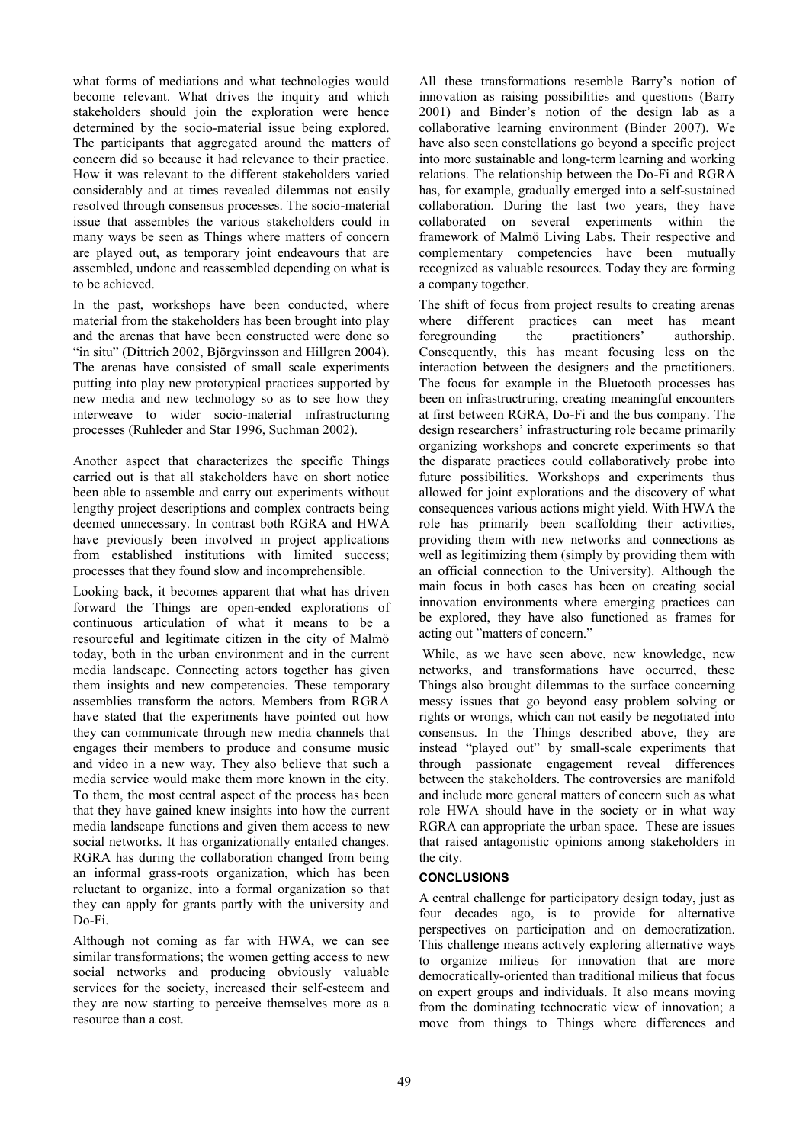what forms of mediations and what technologies would become relevant. What drives the inquiry and which stakeholders should join the exploration were hence determined by the socio-material issue being explored. The participants that aggregated around the matters of concern did so because it had relevance to their practice. How it was relevant to the different stakeholders varied considerably and at times revealed dilemmas not easily resolved through consensus processes. The socio-material issue that assembles the various stakeholders could in many ways be seen as Things where matters of concern are played out, as temporary joint endeavours that are assembled, undone and reassembled depending on what is to be achieved.

In the past, workshops have been conducted, where material from the stakeholders has been brought into play and the arenas that have been constructed were done so "in situ" (Dittrich 2002, Björgvinsson and Hillgren 2004). The arenas have consisted of small scale experiments putting into play new prototypical practices supported by new media and new technology so as to see how they interweave to wider socio-material infrastructuring processes (Ruhleder and Star 1996, Suchman 2002).

Another aspect that characterizes the specific Things carried out is that all stakeholders have on short notice been able to assemble and carry out experiments without lengthy project descriptions and complex contracts being deemed unnecessary. In contrast both RGRA and HWA have previously been involved in project applications from established institutions with limited success; processes that they found slow and incomprehensible.

Looking back, it becomes apparent that what has driven forward the Things are open-ended explorations of continuous articulation of what it means to be a resourceful and legitimate citizen in the city of Malmö today, both in the urban environment and in the current media landscape. Connecting actors together has given them insights and new competencies. These temporary assemblies transform the actors. Members from RGRA have stated that the experiments have pointed out how they can communicate through new media channels that engages their members to produce and consume music and video in a new way. They also believe that such a media service would make them more known in the city. To them, the most central aspect of the process has been that they have gained knew insights into how the current media landscape functions and given them access to new social networks. It has organizationally entailed changes. RGRA has during the collaboration changed from being an informal grass-roots organization, which has been reluctant to organize, into a formal organization so that they can apply for grants partly with the university and Do-Fi.

Although not coming as far with HWA, we can see similar transformations; the women getting access to new social networks and producing obviously valuable services for the society, increased their self-esteem and they are now starting to perceive themselves more as a resource than a cost.

All these transformations resemble Barry"s notion of innovation as raising possibilities and questions (Barry 2001) and Binder"s notion of the design lab as a collaborative learning environment (Binder 2007). We have also seen constellations go beyond a specific project into more sustainable and long-term learning and working relations. The relationship between the Do-Fi and RGRA has, for example, gradually emerged into a self-sustained collaboration. During the last two years, they have collaborated on several experiments within the framework of Malmö Living Labs. Their respective and complementary competencies have been mutually recognized as valuable resources. Today they are forming a company together.

The shift of focus from project results to creating arenas where different practices can meet has meant foregrounding the practitioners' authorship. Consequently, this has meant focusing less on the interaction between the designers and the practitioners. The focus for example in the Bluetooth processes has been on infrastructruring, creating meaningful encounters at first between RGRA, Do-Fi and the bus company. The design researchers' infrastructuring role became primarily organizing workshops and concrete experiments so that the disparate practices could collaboratively probe into future possibilities. Workshops and experiments thus allowed for joint explorations and the discovery of what consequences various actions might yield. With HWA the role has primarily been scaffolding their activities, providing them with new networks and connections as well as legitimizing them (simply by providing them with an official connection to the University). Although the main focus in both cases has been on creating social innovation environments where emerging practices can be explored, they have also functioned as frames for acting out "matters of concern."

 While, as we have seen above, new knowledge, new networks, and transformations have occurred, these Things also brought dilemmas to the surface concerning messy issues that go beyond easy problem solving or rights or wrongs, which can not easily be negotiated into consensus. In the Things described above, they are instead "played out" by small-scale experiments that through passionate engagement reveal differences between the stakeholders. The controversies are manifold and include more general matters of concern such as what role HWA should have in the society or in what way RGRA can appropriate the urban space. These are issues that raised antagonistic opinions among stakeholders in the city.

## **CONCLUSIONS**

A central challenge for participatory design today, just as four decades ago, is to provide for alternative perspectives on participation and on democratization. This challenge means actively exploring alternative ways to organize milieus for innovation that are more democratically-oriented than traditional milieus that focus on expert groups and individuals. It also means moving from the dominating technocratic view of innovation; a move from things to Things where differences and